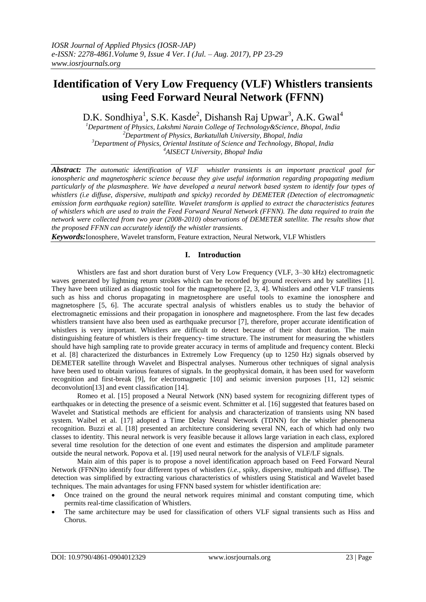# **Identification of Very Low Frequency (VLF) Whistlers transients using Feed Forward Neural Network (FFNN)**

D.K. Sondhiya<sup>1</sup>, S.K. Kasde<sup>2</sup>, Dishansh Raj Upwar<sup>3</sup>, A.K. Gwal<sup>4</sup>

*Department of Physics, Lakshmi Narain College of Technology&Science, Bhopal, India Department of Physics, Barkatullah University, Bhopal, India Department of Physics, Oriental Institute of Science and Technology, Bhopal, India AISECT University, Bhopal, India*

*Abstract: The automatic identification of VLF whistler transients is an important practical goal for ionospheric and magnetospheric science because they give useful information regarding propagating medium particularly of the plasmasphere. We have developed a neural network based system to identify four types of whistlers (i.e diffuse, dispersive, multipath and spicky) recorded by DEMETER (Detection of electromagnetic emission form earthquake region) satellite. Wavelet transform is applied to extract the characteristics features of whistlers which are used to train the Feed Forward Neural Network (FFNN). The data required to train the network were collected from two year (2008-2010) observations of DEMETER satellite. The results show that the proposed FFNN can accurately identify the whistler transients.*

*Keywords:*Ionosphere, Wavelet transform, Feature extraction, Neural Network, VLF Whistlers

### **I. Introduction**

Whistlers are fast and short duration burst of Very Low Frequency (VLF, 3–30 kHz) electromagnetic waves generated by lightning return strokes which can be recorded by ground receivers and by satellites [1]. They have been utilized as diagnostic tool for the magnetosphere [2, 3, 4]. Whistlers and other VLF transients such as hiss and chorus propagating in magnetosphere are useful tools to examine the ionosphere and magnetosphere [5, 6]. The accurate spectral analysis of whistlers enables us to study the behavior of electromagnetic emissions and their propagation in ionosphere and magnetosphere. From the last few decades whistlers transient have also been used as earthquake precursor [7], therefore, proper accurate identification of whistlers is very important. Whistlers are difficult to detect because of their short duration. The main distinguishing feature of whistlers is their frequency- time structure. The instrument for measuring the whistlers should have high sampling rate to provide greater accuracy in terms of amplitude and frequency content. Blecki et al. [8] characterized the disturbances in Extremely Low Frequency (up to 1250 Hz) signals observed by DEMETER satellite through Wavelet and Bispectral analyses. Numerous other techniques of signal analysis have been used to obtain various features of signals. In the geophysical domain, it has been used for waveform recognition and first-break [9], for electromagnetic [10] and seismic inversion purposes [11, 12] seismic deconvolution[13] and event classification [14].

Romeo et al. [15] proposed a Neural Network (NN) based system for recognizing different types of earthquakes or in detecting the presence of a seismic event. Schmitter et al. [16] suggested that features based on Wavelet and Statistical methods are efficient for analysis and characterization of transients using NN based system. Waibel et al. [17] adopted a Time Delay Neural Network (TDNN) for the whistler phenomena recognition. Buzzi et al. [18] presented an architecture considering several NN, each of which had only two classes to identity. This neural network is very feasible because it allows large variation in each class, explored several time resolution for the detection of one event and estimates the dispersion and amplitude parameter outside the neural network. Popova et al. [19] used neural network for the analysis of VLF/LF signals.

Main aim of this paper is to propose a novel identification approach based on Feed Forward Neural Network (FFNN)to identify four different types of whistlers (*i.e.,* spiky, dispersive, multipath and diffuse). The detection was simplified by extracting various characteristics of whistlers using Statistical and Wavelet based techniques. The main advantages for using FFNN based system for whistler identification are:

- Once trained on the ground the neural network requires minimal and constant computing time, which permits real-time classification of Whistlers.
- The same architecture may be used for classification of others VLF signal transients such as Hiss and Chorus.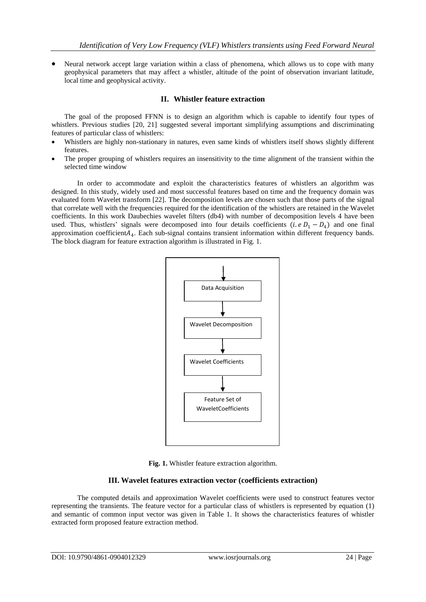Neural network accept large variation within a class of phenomena, which allows us to cope with many geophysical parameters that may affect a whistler, altitude of the point of observation invariant latitude, local time and geophysical activity.

#### **II. Whistler feature extraction**

The goal of the proposed FFNN is to design an algorithm which is capable to identify four types of whistlers. Previous studies [20, 21] suggested several important simplifying assumptions and discriminating features of particular class of whistlers:

- Whistlers are highly non-stationary in natures, even same kinds of whistlers itself shows slightly different features.
- The proper grouping of whistlers requires an insensitivity to the time alignment of the transient within the selected time window

In order to accommodate and exploit the characteristics features of whistlers an algorithm was designed. In this study, widely used and most successful features based on time and the frequency domain was evaluated form Wavelet transform [22]. The decomposition levels are chosen such that those parts of the signal that correlate well with the frequencies required for the identification of the whistlers are retained in the Wavelet coefficients. In this work Daubechies wavelet filters (db4) with number of decomposition levels 4 have been used. Thus, whistlers' signals were decomposed into four details coefficients (*i.e D*<sub>1</sub> − D<sub>4</sub>) and one final approximation coefficient $A_4$ . Each sub-signal contains transient information within different frequency bands. The block diagram for feature extraction algorithm is illustrated in Fig. 1.





#### **III. Wavelet features extraction vector (coefficients extraction)**

The computed details and approximation Wavelet coefficients were used to construct features vector representing the transients. The feature vector for a particular class of whistlers is represented by equation (1) and semantic of common input vector was given in Table 1. It shows the characteristics features of whistler extracted form proposed feature extraction method.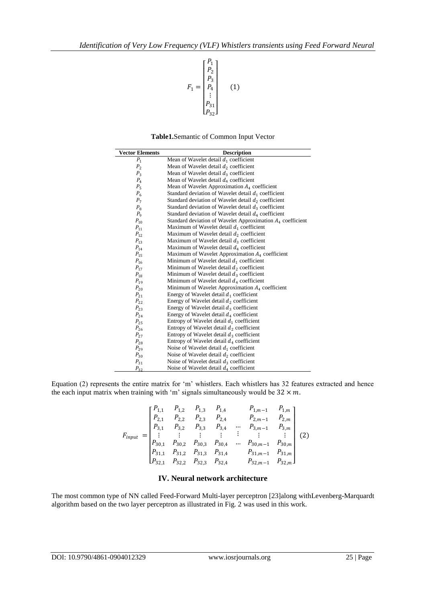

**Table1.**Semantic of Common Input Vector

| <b>Vector Elements</b> | <b>Description</b>                                            |  |  |  |
|------------------------|---------------------------------------------------------------|--|--|--|
| $P_1$                  | Mean of Wavelet detail $d_1$ coefficient                      |  |  |  |
| P <sub>2</sub>         | Mean of Wavelet detail $d_2$ coefficient                      |  |  |  |
| $P_{3}$                | Mean of Wavelet detail $d_3$ coefficient                      |  |  |  |
| $P_{4}$                | Mean of Wavelet detail $d_4$ coefficient                      |  |  |  |
| $P_5$                  | Mean of Wavelet Approximation $A_4$ coefficient               |  |  |  |
| $P_6$                  | Standard deviation of Wavelet detail $d_1$ coefficient        |  |  |  |
| P <sub>7</sub>         | Standard deviation of Wavelet detail $d_2$ coefficient        |  |  |  |
| $P_{\rm R}$            | Standard deviation of Wavelet detail $d_3$ coefficient        |  |  |  |
| $P_{\rm q}$            | Standard deviation of Wavelet detail $d_4$ coefficient        |  |  |  |
| $P_{10}$               | Standard deviation of Wavelet Approximation $A_4$ coefficient |  |  |  |
| $P_{11}$               | Maximum of Wavelet detail $d_1$ coefficient                   |  |  |  |
| $P_{12}$               | Maximum of Wavelet detail $d_2$ coefficient                   |  |  |  |
| $P_{13}$               | Maximum of Wavelet detail $d_3$ coefficient                   |  |  |  |
| $P_{14}$               | Maximum of Wavelet detail $d_4$ coefficient                   |  |  |  |
| $P_{15}$               | Maximum of Wavelet Approximation $A_4$ coefficient            |  |  |  |
| $P_{16}$               | Minimum of Wavelet detail $d_1$ coefficient                   |  |  |  |
| $P_{17}$               | Minimum of Wavelet detail $d_2$ coefficient                   |  |  |  |
| $P_{18}$               | Minimum of Wavelet detail $d_3$ coefficient                   |  |  |  |
| $P_{19}$               | Minimum of Wavelet detail $d_4$ coefficient                   |  |  |  |
| $P_{20}$               | Minimum of Wavelet Approximation $A_4$ coefficient            |  |  |  |
| $P_{21}$               | Energy of Wavelet detail $d_1$ coefficient                    |  |  |  |
| $P_{22}$               | Energy of Wavelet detail $d_2$ coefficient                    |  |  |  |
| $P_{23}$               | Energy of Wavelet detail $d_3$ coefficient                    |  |  |  |
| $P_{24}$               | Energy of Wavelet detail $d_4$ coefficient                    |  |  |  |
| $P_{25}$               | Entropy of Wavelet detail $d_1$ coefficient                   |  |  |  |
| $P_{26}$               | Entropy of Wavelet detail $d_2$ coefficient                   |  |  |  |
| $P_{27}$               | Entropy of Wavelet detail $d_3$ coefficient                   |  |  |  |
| $P_{28}$               | Entropy of Wavelet detail $d_4$ coefficient                   |  |  |  |
| $P_{29}$               | Noise of Wavelet detail $d_1$ coefficient                     |  |  |  |
| $P_{30}$               | Noise of Wavelet detail $d_2$ coefficient                     |  |  |  |
| $P_{31}$               | Noise of Wavelet detail $d_3$ coefficient                     |  |  |  |
| $P_{32}$               | Noise of Wavelet detail $d_4$ coefficient                     |  |  |  |

Equation (2) represents the entire matrix for 'm' whistlers. Each whistlers has 32 features extracted and hence the each input matrix when training with 'm' signals simultaneously would be  $32 \times m$ .

$$
F_{input} = \begin{bmatrix} P_{1,1} & P_{1,2} & P_{1,3} & P_{1,4} & P_{1,m-1} & P_{1,m} \\ P_{2,1} & P_{2,2} & P_{2,3} & P_{2,4} & P_{2,m-1} & P_{2,m} \\ P_{3,1} & P_{3,2} & P_{3,3} & P_{3,4} & \cdots & P_{3,m-1} & P_{3,m} \\ \vdots & \vdots & \vdots & \vdots & \vdots & \vdots & \vdots \\ P_{30,1} & P_{30,2} & P_{30,3} & P_{30,4} & \cdots & P_{30,m-1} & P_{30,m} \\ P_{31,1} & P_{31,2} & P_{31,3} & P_{31,4} & P_{31,m-1} & P_{31,m} \\ P_{32,1} & P_{32,2} & P_{32,3} & P_{32,4} & P_{32,m-1} & P_{32,m} \end{bmatrix} (2)
$$

#### **IV. Neural network architecture**

The most common type of NN called Feed-Forward Multi-layer perceptron [23]along withLevenberg-Marquardt algorithm based on the two layer perceptron as illustrated in Fig. 2 was used in this work.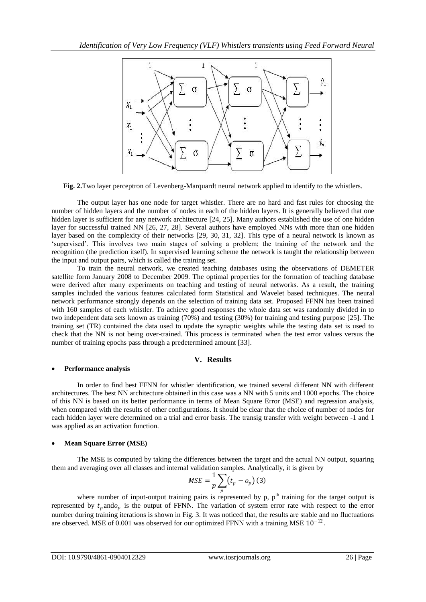

**Fig. 2.**Two layer perceptron of Levenberg-Marquardt neural network applied to identify to the whistlers.

The output layer has one node for target whistler. There are no hard and fast rules for choosing the number of hidden layers and the number of nodes in each of the hidden layers. It is generally believed that one hidden layer is sufficient for any network architecture [24, 25]. Many authors established the use of one hidden layer for successful trained NN [26, 27, 28]. Several authors have employed NNs with more than one hidden layer based on the complexity of their networks [29, 30, 31, 32]. This type of a neural network is known as 'supervised'. This involves two main stages of solving a problem; the training of the network and the recognition (the prediction itself). In supervised learning scheme the network is taught the relationship between the input and output pairs, which is called the training set.

To train the neural network, we created teaching databases using the observations of DEMETER satellite form January 2008 to December 2009. The optimal properties for the formation of teaching database were derived after many experiments on teaching and testing of neural networks. As a result, the training samples included the various features calculated form Statistical and Wavelet based techniques. The neural network performance strongly depends on the selection of training data set. Proposed FFNN has been trained with 160 samples of each whistler. To achieve good responses the whole data set was randomly divided in to two independent data sets known as training (70%) and testing (30%) for training and testing purpose [25]. The training set (TR) contained the data used to update the synaptic weights while the testing data set is used to check that the NN is not being over-trained. This process is terminated when the test error values versus the number of training epochs pass through a predetermined amount [33].

### **V. Results**

#### **Performance analysis**

In order to find best FFNN for whistler identification, we trained several different NN with different architectures. The best NN architecture obtained in this case was a NN with 5 units and 1000 epochs. The choice of this NN is based on its better performance in terms of Mean Square Error (MSE) and regression analysis, when compared with the results of other configurations. It should be clear that the choice of number of nodes for each hidden layer were determined on a trial and error basis. The transig transfer with weight between -1 and 1 was applied as an activation function.

#### **Mean Square Error (MSE)**

The MSE is computed by taking the differences between the target and the actual NN output, squaring them and averaging over all classes and internal validation samples. Analytically, it is given by

$$
MSE = \frac{1}{p} \sum_{p} (t_p - o_p) (3)
$$

where number of input-output training pairs is represented by p,  $p<sup>th</sup>$  training for the target output is represented by  $t_p$  and  $\varphi_p$  is the output of FFNN. The variation of system error rate with respect to the error number during training iterations is shown in Fig. 3. It was noticed that, the results are stable and no fluctuations are observed. MSE of 0.001 was observed for our optimized FFNN with a training MSE  $10^{-12}$ .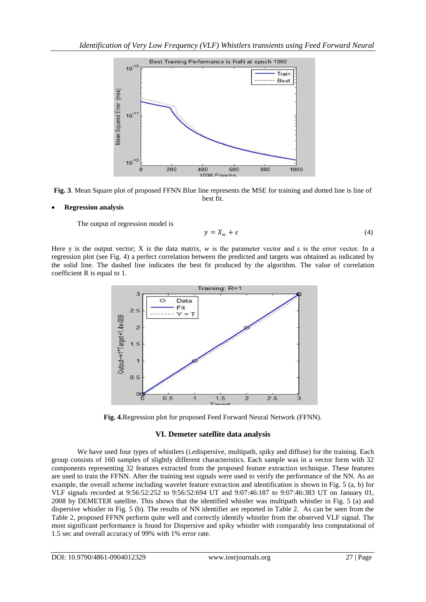

**Fig. 3**. Mean Square plot of proposed FFNN Blue line represents the MSE for training and dotted line is line of best fit.

#### **Regression analysis**

The output of regression model is

$$
y = X_w + \varepsilon \tag{4}
$$

Here y is the output vector; X is the data matrix, *w* is the parameter vector and  $\varepsilon$  is the error vector. In a regression plot (see Fig. 4) a perfect correlation between the predicted and targets was obtained as indicated by the solid line. The dashed line indicates the best fit produced by the algorithm. The value of correlation coefficient R is equal to 1.



**Fig. 4.**Regression plot for proposed Feed Forward Neural Network (FFNN).

#### **VI. Demeter satellite data analysis**

We have used four types of whistlers (*i.e*dispersive, multipath, spiky and diffuse) for the training. Each group consists of 160 samples of slightly different characteristics. Each sample was in a vector form with 32 components representing 32 features extracted from the proposed feature extraction technique. These features are used to train the FFNN. After the training test signals were used to verify the performance of the NN. As an example, the overall scheme including wavelet feature extraction and identification is shown in Fig. 5 (a, b) for VLF signals recorded at 9:56:52:252 to 9:56:52:694 UT and 9:07:46:187 to 9:07:46:383 UT on January 01, 2008 by DEMETER satellite. This shows that the identified whistler was multipath whistler in Fig. 5 (a) and dispersive whistler in Fig. 5 (b). The results of NN identifier are reported in Table 2. As can be seen from the Table 2, proposed FFNN perform quite well and correctly identify whistler from the observed VLF signal. The most significant performance is found for Dispersive and spiky whistler with comparably less computational of 1.5 sec and overall accuracy of 99% with 1% error rate.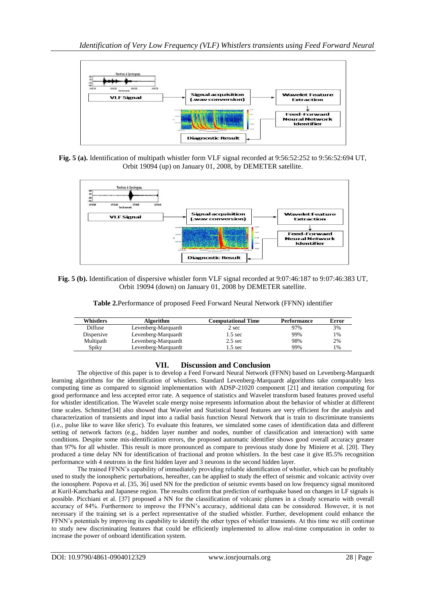

**Fig. 5 (a).** Identification of multipath whistler form VLF signal recorded at 9:56:52:252 to 9:56:52:694 UT, Orbit 19094 (up) on January 01, 2008, by DEMETER satellite.



#### **Fig. 5 (b).** Identification of dispersive whistler form VLF signal recorded at 9:07:46:187 to 9:07:46:383 UT, Orbit 19094 (down) on January 01, 2008 by DEMETER satellite.

**Table 2.**Performance of proposed Feed Forward Neural Network (FFNN) identifier

| Whistlers  | Algorithm           | <b>Computational Time</b> | <b>Performance</b> | Error |
|------------|---------------------|---------------------------|--------------------|-------|
| Diffuse    | Levenberg-Marquardt | 2 sec                     | 97%                | 3%    |
| Dispersive | Levenberg-Marquardt | 1.5 sec                   | 99%                | $1\%$ |
| Multipath  | Levenberg-Marquardt | $2.5 \text{ sec}$         | 98%                | 2%    |
| Spiky      | Levenberg-Marquardt | $.5 \text{ sec}$          | 99%                | $1\%$ |

## **VII. Discussion and Conclusion**

The objective of this paper is to develop a Feed Forward Neural Network (FFNN) based on Levenberg-Marquardt learning algorithms for the identification of whistlers. Standard Levenberg-Marquardt algorithms take comparably less computing time as compared to sigmoid implementation with ADSP-21020 component [21] and iteration computing for good performance and less accepted error rate. A sequence of statistics and Wavelet transform based features proved useful for whistler identification. The Wavelet scale energy noise represents information about the behavior of whistler at different time scales. Schmitter[34] also showed that Wavelet and Statistical based features are very efficient for the analysis and characterization of transients and input into a radial basis function Neural Network that is train to discriminate transients (i.e., pulse like to wave like sferic). To evaluate this features, we simulated some cases of identification data and different setting of network factors (e.g., hidden layer number and nodes, number of classification and interaction) with same conditions. Despite some mis-identification errors, the proposed automatic identifier shows good overall accuracy greater than 97% for all whistler. This result is more pronounced as compare to previous study done by Miniere et al. [20]. They produced a time delay NN for identification of fractional and proton whistlers. In the best case it give 85.5% recognition performance with 4 neutrons in the first hidden layer and 3 neurons in the second hidden layer.

The trained FFNN's capability of immediately providing reliable identification of whistler, which can be profitably used to study the ionospheric perturbations, hereafter, can be applied to study the effect of seismic and volcanic activity over the ionosphere. Popova et al. [35, 36] used NN for the prediction of seismic events based on low frequency signal monitored at Kuril-Kamcharka and Japanese region. The results confirm that prediction of earthquake based on changes in LF signals is possible. Picchiani et al. [37] proposed a NN for the classification of volcanic plumes in a cloudy scenario with overall accuracy of 84%. Furthermore to improve the FFNN's accuracy, additional data can be considered. However, it is not necessary if the training set is a perfect representative of the studied whistler. Further, development could enhance the FFNN's potentials by improving its capability to identify the other types of whistler transients. At this time we still continue to study new discriminating features that could be efficiently implemented to allow real-time computation in order to increase the power of onboard identification system.